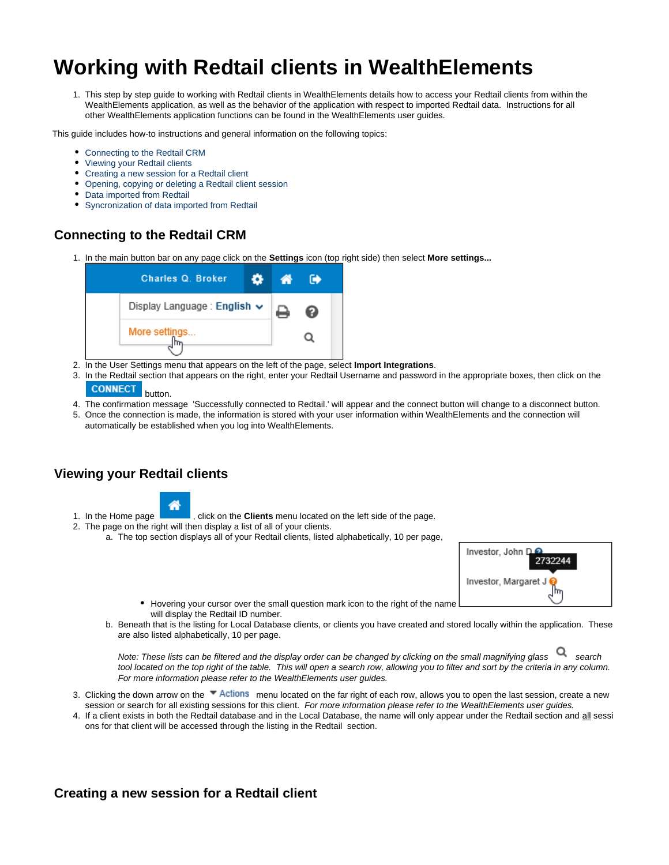# <span id="page-0-3"></span>**Working with Redtail clients in WealthElements**

1. This step by step guide to working with Redtail clients in WealthElements details how to access your Redtail clients from within the WealthElements application, as well as the behavior of the application with respect to imported Redtail data. Instructions for all other WealthElements application functions can be found in the WealthElements user guides.

This guide includes how-to instructions and general information on the following topics:

- [Connecting to the Redtail CRM](#page-0-0)
- [Viewing your Redtail clients](#page-0-1)
- [Creating a new session for a Redtail client](#page-0-2)
- [Opening, copying or deleting a Redtail client session](#page-1-0)
- [Data imported from Redtail](#page-1-1)
- [Syncronization of data imported from Redtail](#page-1-2)

# <span id="page-0-0"></span>**Connecting to the Redtail CRM**

1. In the main button bar on any page click on the **Settings** icon (top right side) then select **More settings...**



- 2. In the User Settings menu that appears on the left of the page, select **Import Integrations**.
- 3. In the Redtail section that appears on the right, enter your Redtail Username and password in the appropriate boxes, then click on the **CONNECT**

#### button.

- 4. The confirmation message 'Successfully connected to Redtail.' will appear and the connect button will change to a disconnect button.
- 5. Once the connection is made, the information is stored with your user information within WealthElements and the connection will automatically be established when you log into WealthElements.

## <span id="page-0-1"></span>**Viewing your Redtail clients**



- 1. In the Home page , click on the **Clients** menu located on the left side of the page.
- 2. The page on the right will then display a list of all of your clients.
	- a. The top section displays all of your Redtail clients, listed alphabetically, 10 per page,



- Hovering your cursor over the small question mark icon to the right of the name will display the Redtail ID number.
- b. Beneath that is the listing for Local Database clients, or clients you have created and stored locally within the application. These are also listed alphabetically, 10 per page.

Note: These lists can be filtered and the display order can be changed by clicking on the small magnifying glass search tool located on the top right of the table. This will open a search row, allowing you to filter and sort by the criteria in any column. For more information please refer to the WealthElements user guides.

- 3. Clicking the down arrow on the <sup>w</sup> Actions menu located on the far right of each row, allows you to open the last session, create a new session or search for all existing sessions for this client. For more information please refer to the WealthElements user guides.
- 4. If a client exists in both the Redtail database and in the Local Database, the name will only appear under the Redtail section and <u>all</u> sessi ons for that client will be accessed through the listing in the Redtail section.

### <span id="page-0-2"></span>**Creating a new session for a Redtail client**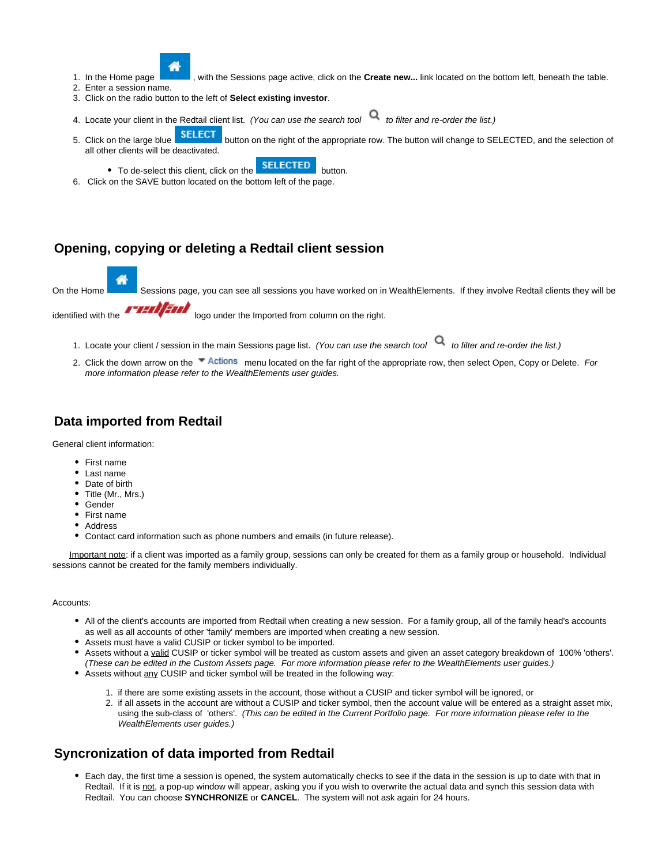

- with the Sessions page active, click on the **Create new...** link located on the bottom left, beneath the table.
- 1. In the Home page 2. Enter a session name.
- 3. Click on the radio button to the left of **Select existing investor**.
- 4. Locate your client in the Redtail client list. (You can use the search tool to filter and re-order the list.)
- 5. Click on the large blue SELECT button on the right of the appropriate row. The button will change to SELECTED, and the selection of all other clients will be deactivated.
	- To de-select this client, click on the **SELECTED** button.
- 6. Click on the SAVE button located on the bottom left of the page.

## <span id="page-1-0"></span>**Opening, copying or deleting a Redtail client session**

On the Home Sessions page, you can see all sessions you have worked on in WealthElements. If they involve Redtail clients they will be

identified with the **ITTING** logo under the Imported from column on the right.

1. Locate your client / session in the main Sessions page list. (You can use the search tool to filter and re-order the list.)

2. Click the down arrow on the Te Actions menu located on the far right of the appropriate row, then select Open, Copy or Delete. For more information please refer to the WealthElements user guides.

# <span id="page-1-1"></span>**Data imported from Redtail**

General client information:

- First name
- Last name
- Date of birth
- **Title (Mr., Mrs.)**
- Gender
- First name
- Address
- Contact card information such as phone numbers and emails (in future release).

Important note: if a client was imported as a family group, sessions can only be created for them as a family group or household. Individual sessions cannot be created for the family members individually.

#### Accounts:

- All of the client's accounts are imported from Redtail when creating a new session. For a family group, all of the family head's accounts as well as all accounts of other 'family' members are imported when creating a new session.
- Assets must have a valid CUSIP or ticker symbol to be imported.
- Assets without a valid CUSIP or ticker symbol will be treated as custom assets and given an asset category breakdown of 100% 'others'. (These can be edited in the Custom Assets page. For more information please refer to the WealthElements user guides.)
- Assets without any CUSIP and ticker symbol will be treated in the following way:
	- 1. if there are some existing assets in the account, those without a CUSIP and ticker symbol will be ignored, or
	- 2. if all assets in the account are without a CUSIP and ticker symbol, then the account value will be entered as a straight asset mix, using the sub-class of 'others'. (This can be edited in the Current Portfolio page. For more information please refer to the WealthElements user guides.)

### <span id="page-1-2"></span>**Syncronization of data imported from Redtail**

Each day, the first time a session is opened, the system automatically checks to see if the data in the session is up to date with that in Redtail. If it is not, a pop-up window will appear, asking you if you wish to overwrite the actual data and synch this session data with Redtail. You can choose **SYNCHRONIZE** or **CANCEL**. The system will not ask again for 24 hours.